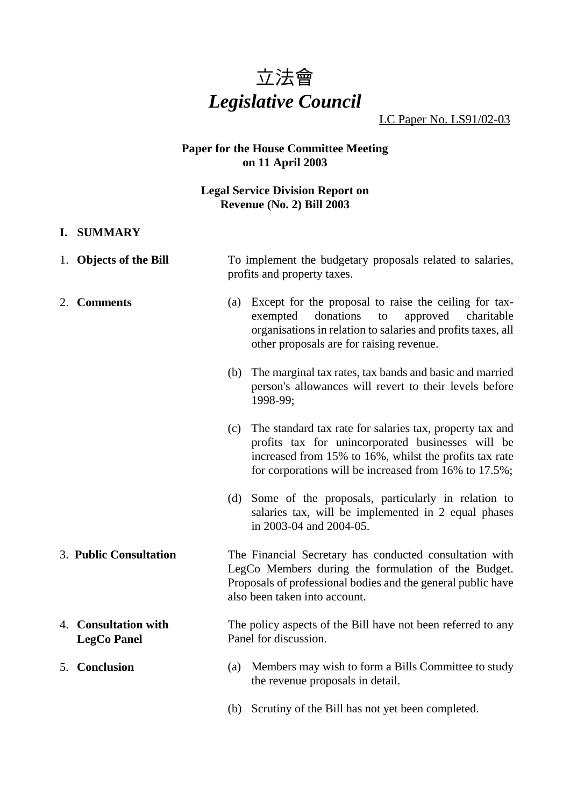# *立法會 Legislative Council*

LC Paper No. LS91/02-03

#### **Paper for the House Committee Meeting on 11 April 2003**

#### **Legal Service Division Report on Revenue (No. 2) Bill 2003**

- **I. SUMMARY**
- 1. **Objects of the Bill** To implement the budgetary proposals related to salaries, profits and property taxes.
- 2. **Comments** (a) Except for the proposal to raise the ceiling for taxexempted donations to approved charitable organisations in relation to salaries and profits taxes, all other proposals are for raising revenue.
	- (b) The marginal tax rates, tax bands and basic and married person's allowances will revert to their levels before 1998-99;
	- (c) The standard tax rate for salaries tax, property tax and profits tax for unincorporated businesses will be increased from 15% to 16%, whilst the profits tax rate for corporations will be increased from 16% to 17.5%;
	- (d) Some of the proposals, particularly in relation to salaries tax, will be implemented in 2 equal phases in 2003-04 and 2004-05.
- 3. **Public Consultation** The Financial Secretary has conducted consultation with LegCo Members during the formulation of the Budget. Proposals of professional bodies and the general public have also been taken into account.

#### 4. **Consultation with LegCo Panel** The policy aspects of the Bill have not been referred to any Panel for discussion.

- 5. **Conclusion** (a) Members may wish to form a Bills Committee to study the revenue proposals in detail.
	- (b) Scrutiny of the Bill has not yet been completed.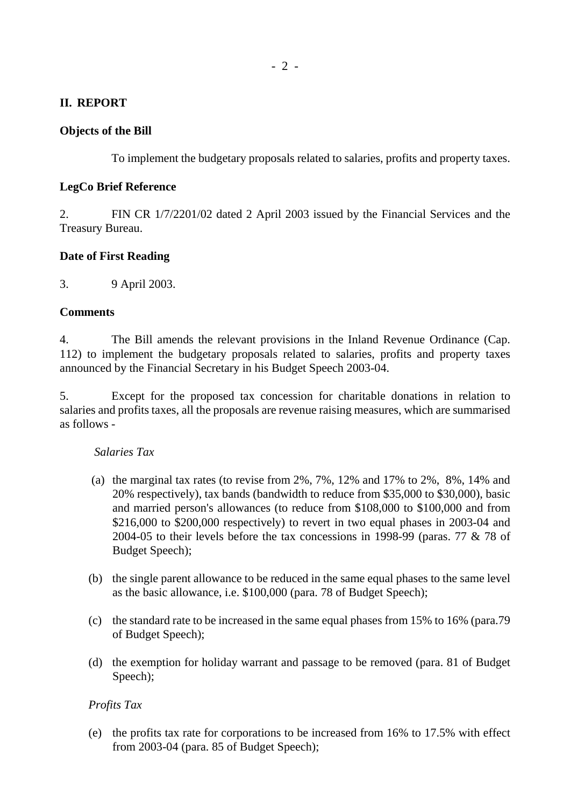# **II. REPORT**

#### **Objects of the Bill**

To implement the budgetary proposals related to salaries, profits and property taxes.

#### **LegCo Brief Reference**

2. FIN CR 1/7/2201/02 dated 2 April 2003 issued by the Financial Services and the Treasury Bureau.

# **Date of First Reading**

3. 9 April 2003.

#### **Comments**

4. The Bill amends the relevant provisions in the Inland Revenue Ordinance (Cap. 112) to implement the budgetary proposals related to salaries, profits and property taxes announced by the Financial Secretary in his Budget Speech 2003-04.

5. Except for the proposed tax concession for charitable donations in relation to salaries and profits taxes, all the proposals are revenue raising measures, which are summarised as follows -

#### *Salaries Tax*

- (a) the marginal tax rates (to revise from 2%, 7%, 12% and 17% to 2%, 8%, 14% and 20% respectively), tax bands (bandwidth to reduce from \$35,000 to \$30,000), basic and married person's allowances (to reduce from \$108,000 to \$100,000 and from \$216,000 to \$200,000 respectively) to revert in two equal phases in 2003-04 and 2004-05 to their levels before the tax concessions in 1998-99 (paras. 77 & 78 of Budget Speech);
- (b) the single parent allowance to be reduced in the same equal phases to the same level as the basic allowance, i.e. \$100,000 (para. 78 of Budget Speech);
- (c) the standard rate to be increased in the same equal phases from 15% to 16% (para.79 of Budget Speech);
- (d) the exemption for holiday warrant and passage to be removed (para. 81 of Budget Speech);

# *Profits Tax*

(e) the profits tax rate for corporations to be increased from 16% to 17.5% with effect from 2003-04 (para. 85 of Budget Speech);